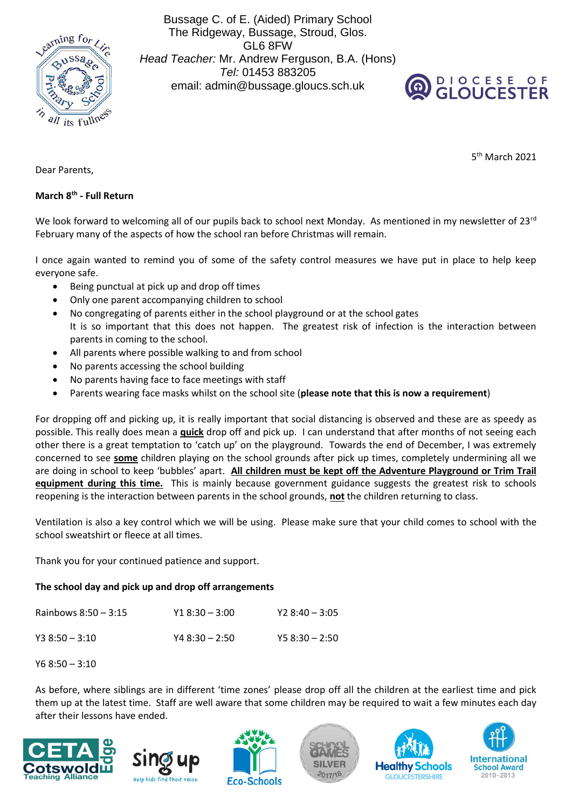

Bussage C. of E. (Aided) Primary School The Ridgeway, Bussage, Stroud, Glos. GL6 8FW *Head Teacher:* Mr. Andrew Ferguson, B.A. (Hons) *Tel:* 01453 883205 email: admin@bussage.gloucs.sch.uk



5 th March 2021

Dear Parents,

## **March 8th - Full Return**

We look forward to welcoming all of our pupils back to school next Monday. As mentioned in my newsletter of 23rd February many of the aspects of how the school ran before Christmas will remain.

I once again wanted to remind you of some of the safety control measures we have put in place to help keep everyone safe.

- Being punctual at pick up and drop off times
- Only one parent accompanying children to school
- No congregating of parents either in the school playground or at the school gates It is so important that this does not happen. The greatest risk of infection is the interaction between parents in coming to the school.
- All parents where possible walking to and from school
- No parents accessing the school building
- No parents having face to face meetings with staff
- Parents wearing face masks whilst on the school site (**please note that this is now a requirement**)

For dropping off and picking up, it is really important that social distancing is observed and these are as speedy as possible. This really does mean a **quick** drop off and pick up. I can understand that after months of not seeing each other there is a great temptation to 'catch up' on the playground. Towards the end of December, I was extremely concerned to see **some** children playing on the school grounds after pick up times, completely undermining all we are doing in school to keep 'bubbles' apart. **All children must be kept off the Adventure Playground or Trim Trail equipment during this time.** This is mainly because government guidance suggests the greatest risk to schools reopening is the interaction between parents in the school grounds, **not** the children returning to class.

Ventilation is also a key control which we will be using. Please make sure that your child comes to school with the school sweatshirt or fleece at all times.

Thank you for your continued patience and support.

## **The school day and pick up and drop off arrangements**

| Rainbows $8:50 - 3:15$ | $Y18:30 - 3:00$ | $Y28:40 - 3:05$ |
|------------------------|-----------------|-----------------|
| $Y38:50 - 3:10$        | $Y48:30 - 2:50$ | $Y58:30 - 2:50$ |

Y6 8:50 – 3:10

As before, where siblings are in different 'time zones' please drop off all the children at the earliest time and pick them up at the latest time. Staff are well aware that some children may be required to wait a few minutes each day after their lessons have ended.